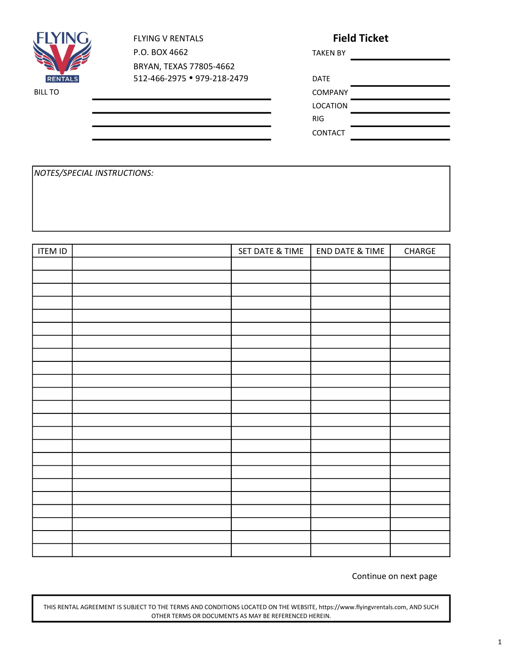

FLYING V RENTALS P.O. BOX 4662 BRYAN, TEXAS 77805-4662 512-466-2975 • 979-218-2479 DAT Field Ticket

| <b>TAKEN BY</b> |  |
|-----------------|--|
|                 |  |
| <b>DATE</b>     |  |
| <b>COMPANY</b>  |  |

LOCATION

RIG

CONTACT

NOTES/SPECIAL INSTRUCTIONS:

| <b>ITEM ID</b> | SET DATE & TIME | <b>END DATE &amp; TIME</b> | ${\sf CHARGE}$ |
|----------------|-----------------|----------------------------|----------------|
|                |                 |                            |                |
|                |                 |                            |                |
|                |                 |                            |                |
|                |                 |                            |                |
|                |                 |                            |                |
|                |                 |                            |                |
|                |                 |                            |                |
|                |                 |                            |                |
|                |                 |                            |                |
|                |                 |                            |                |
|                |                 |                            |                |
|                |                 |                            |                |
|                |                 |                            |                |
|                |                 |                            |                |
|                |                 |                            |                |
|                |                 |                            |                |
|                |                 |                            |                |
|                |                 |                            |                |
|                |                 |                            |                |
|                |                 |                            |                |
|                |                 |                            |                |
|                |                 |                            |                |
|                |                 |                            |                |

Continue on next page

THIS RENTAL AGREEMENT IS SUBJECT TO THE TERMS AND CONDITIONS LOCATED ON THE WEBSITE, https://www.flyingvrentals.com, AND SUCH OTHER TERMS OR DOCUMENTS AS MAY BE REFERENCED HEREIN.